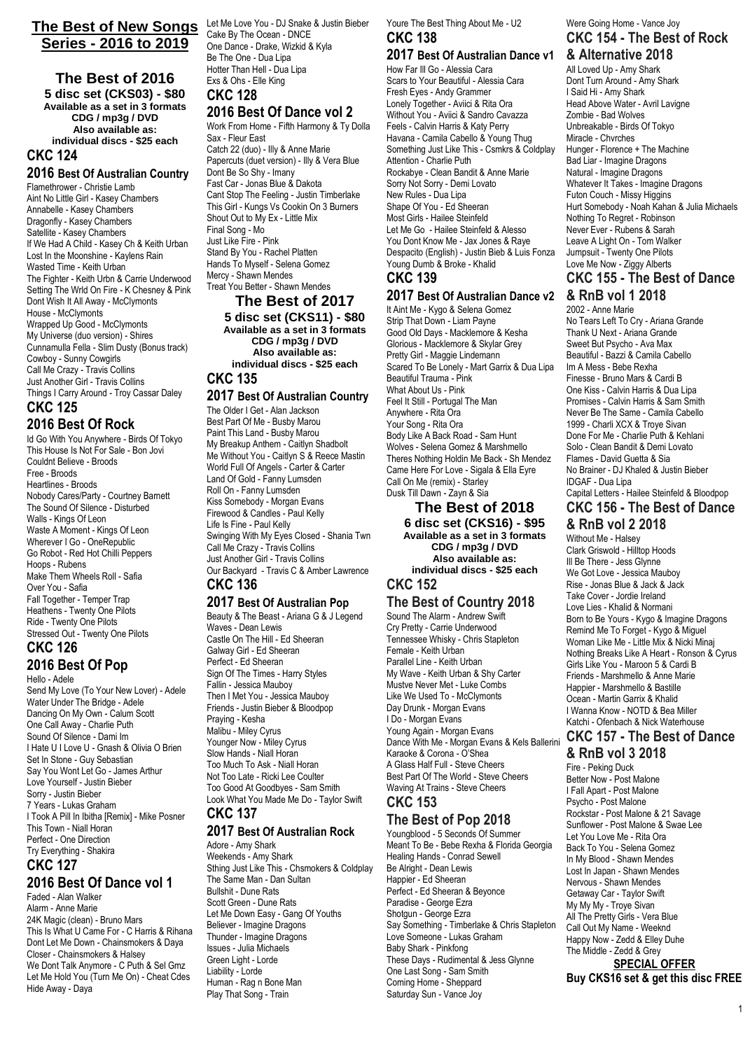#### **The Best of New Songs** Let Me Love You - DJ Snake & Justin Bieber **Series - 2016 to 2019**

**The Best of 2016 5 disc set (CKS03) - \$80 Available as a set in 3 formats CDG / mp3g / DVD Also available as: individual discs - \$25 each CKC 124**

#### **2016 Best Of Australian Country**

Flamethrower - Christie Lamb Aint No Little Girl - Kasey Chambers Annabelle - Kasey Chambers Dragonfly - Kasey Chambers Satellite - Kasey Chambers If We Had A Child - Kasey Ch & Keith Urban Lost In the Moonshine - Kaylens Rain Wasted Time - Keith Urban The Fighter - Keith Urbn & Carrie Underwood Setting The Wrld On Fire - K Chesney & Pink Dont Wish It All Away - McClymonts House - McClymonts Wrapped Up Good - McClymonts My Universe (duo version) - Shires Cunnamulla Fella - Slim Dusty (Bonus track) Cowboy - Sunny Cowgirls Call Me Crazy - Travis Collins Just Another Girl - Travis Collins Things I Carry Around - Troy Cassar Daley

# **CKC 125**

**2016 Best Of Rock** Id Go With You Anywhere - Birds Of Tokyo This House Is Not For Sale - Bon Jovi Couldnt Believe - Broods Free - Broods Heartlines - Broods Nobody Cares/Party - Courtney Barnett The Sound Of Silence - Disturbed Walls - Kings Of Leon Waste A Moment - Kings Of Leon Wherever I Go - OneRepublic Go Robot - Red Hot Chilli Peppers Hoops - Rubens Make Them Wheels Roll - Safia Over You - Safia Fall Together - Temper Trap Heathens - Twenty One Pilots Ride - Twenty One Pilots Stressed Out - Twenty One Pilots

#### **CKC 126 2016 Best Of Pop**

Hello - Adele Send My Love (To Your New Lover) - Adele Water Under The Bridge - Adele Dancing On My Own - Calum Scott One Call Away - Charlie Puth Sound Of Silence - Dami Im I Hate U I Love U - Gnash & Olivia O Brien Set In Stone - Guy Sebastian Say You Wont Let Go - James Arthur Love Yourself - Justin Bieber Sorry - Justin Bieber 7 Years - Lukas Graham I Took A Pill In Ibitha [Remix] - Mike Posner This Town - Niall Horan Perfect - One Direction Try Everything - Shakira

#### **CKC 127 2016 Best Of Dance vol 1**

Faded - Alan Walker Alarm - Anne Marie 24K Magic (clean) - Bruno Mars This Is What U Came For - C Harris & Rihana Dont Let Me Down - Chainsmokers & Daya Closer - Chainsmokers & Halsey We Dont Talk Anymore - C Puth & Sel Gmz Let Me Hold You (Turn Me On) - Cheat Cdes Hide Away - Daya

Cake By The Ocean - DNCE One Dance - Drake, Wizkid & Kyla Be The One - Dua Lipa Hotter Than Hell - Dua Lipa Exs & Ohs - Elle King **CKC 128**

#### **2016 Best Of Dance vol 2**

Work From Home - Fifth Harmony & Ty Dolla Sax - Fleur East Catch 22 (duo) - Illy & Anne Marie Papercuts (duet version) - Illy & Vera Blue Dont Be So Shy - Imany Fast Car - Jonas Blue & Dakota Cant Stop The Feeling - Justin Timberlake This Girl - Kungs Vs Cookin On 3 Burners Shout Out to My Ex - Little Mix Final Song - Mo Just Like Fire - Pink Stand By You - Rachel Platten Hands To Myself - Selena Gomez Mercy - Shawn Mendes Treat You Better - Shawn Mendes

# **The Best of 2017**

**5 disc set (CKS11) - \$80 Available as a set in 3 formats CDG / mp3g / DVD Also available as: individual discs - \$25 each CKC 135**

#### **2017 Best Of Australian Country**

The Older I Get - Alan Jackson Best Part Of Me - Busby Marou Paint This Land - Busby Marou My Breakup Anthem - Caitlyn Shadbolt Me Without You - Caitlyn S & Reece Mastin World Full Of Angels - Carter & Carter Land Of Gold - Fanny Lumsden Roll On - Fanny Lumsden Kiss Somebody - Morgan Evans Firewood & Candles - Paul Kelly Life Is Fine - Paul Kelly Swinging With My Eyes Closed - Shania Twn Call Me Crazy - Travis Collins Just Another Girl - Travis Collins Our Backyard - Travis C & Amber Lawrence **CKC 136**

#### **2017 Best Of Australian Pop**

Beauty & The Beast - Ariana G & J Legend Waves - Dean Lewis Castle On The Hill - Ed Sheeran Galway Girl - Ed Sheeran Perfect - Ed Sheeran Sign Of The Times - Harry Styles Fallin - Jessica Mauboy Then I Met You - Jessica Mauboy Friends - Justin Bieber & Bloodpop Praying - Kesha Malibu - Miley Cyrus Younger Now - Miley Cyrus Slow Hands - Niall Horan Too Much To Ask - Niall Horan Not Too Late - Ricki Lee Coulter Too Good At Goodbyes - Sam Smith Look What You Made Me Do - Taylor Swift **CKC 137**

# **2017 Best Of Australian Rock**

Adore - Amy Shark Weekends - Amy Shark Sthing Just Like This - Chsmokers & Coldplay The Same Man - Dan Sultan Bullshit - Dune Rats Scott Green - Dune Rats Let Me Down Easy - Gang Of Youths Believer - Imagine Dragons Thunder - Imagine Dragons Issues - Julia Michaels Green Light - Lorde Liability - Lorde Human - Rag n Bone Man Play That Song - Train

Youre The Best Thing About Me - U2 **CKC 138**

### **2017 Best Of Australian Dance v1**

How Far Ill Go - Alessia Cara Scars to Your Beautiful - Alessia Cara Fresh Eyes - Andy Grammer Lonely Together - Aviici & Rita Ora Without You - Aviici & Sandro Cavazza Feels - Calvin Harris & Katy Perry Havana - Camila Cabello & Young Thug Something Just Like This - Csmkrs & Coldplay Attention - Charlie Puth Rockabye - Clean Bandit & Anne Marie Sorry Not Sorry - Demi Lovato New Rules - Dua Lipa Shape Of You - Ed Sheeran Most Girls - Hailee Steinfeld Let Me Go - Hailee Steinfeld & Alesso You Dont Know Me - Jax Jones & Raye Despacito (English) - Justin Bieb & Luis Fonza Young Dumb & Broke - Khalid **CKC 139**

## **2017 Best Of Australian Dance v2**

It Aint Me - Kygo & Selena Gomez Strip That Down - Liam Payne Good Old Days - Macklemore & Kesha Glorious - Macklemore & Skylar Grey Pretty Girl - Maggie Lindemann Scared To Be Lonely - Mart Garrix & Dua Lipa Beautiful Trauma - Pink What About Us - Pink Feel It Still - Portugal The Man Anywhere - Rita Ora Your Song - Rita Ora Body Like A Back Road - Sam Hunt Wolves - Selena Gomez & Marshmello Theres Nothing Holdin Me Back - Sh Mendez Came Here For Love - Sigala & Ella Eyre Call On Me (remix) - Starley Dusk Till Dawn - Zayn & Sia

#### **The Best of 2018 6 disc set (CKS16) - \$95 Available as a set in 3 formats CDG / mp3g / DVD**

**Also available as: individual discs - \$25 each CKC 152**

## **The Best of Country 2018**

Sound The Alarm - Andrew Swift Cry Pretty - Carrie Underwood Tennessee Whisky - Chris Stapleton Female - Keith Urban Parallel Line - Keith Urban My Wave - Keith Urban & Shy Carter Mustve Never Met - Luke Combs Like We Used To - McClymonts Day Drunk - Morgan Evans I Do - Morgan Evans Young Again - Morgan Evans Dance With Me - Morgan Evans & Kels Ballerini Karaoke & Corona - O'Shea A Glass Half Full - Steve Cheers Best Part Of The World - Steve Cheers Waving At Trains - Steve Cheers **CKC 153**

# **The Best of Pop 2018**

Youngblood - 5 Seconds Of Summer Meant To Be - Bebe Rexha & Florida Georgia Healing Hands - Conrad Sewell Be Alright - Dean Lewis Happier - Ed Sheeran Perfect - Ed Sheeran & Beyonce Paradise - George Ezra Shotgun - George Ezra Say Something - Timberlake & Chris Stapleton Love Someone - Lukas Graham Baby Shark - Pinkfong These Days - Rudimental & Jess Glynne One Last Song - Sam Smith Coming Home - Sheppard Saturday Sun - Vance Joy

### Were Going Home - Vance Joy **CKC 154 - The Best of Rock**

**& Alternative 2018**

All Loved Up - Amy Shark Dont Turn Around - Amy Shark I Said Hi - Amy Shark Head Above Water - Avril Lavigne Zombie - Bad Wolves Unbreakable - Birds Of Tokyo Miracle - Chvrches Hunger - Florence + The Machine Bad Liar - Imagine Dragons Natural - Imagine Dragons Whatever It Takes - Imagine Dragons Futon Couch - Missy Higgins Hurt Somebody - Noah Kahan & Julia Michaels Nothing To Regret - Robinson Never Ever - Rubens & Sarah Leave A Light On - Tom Walker Jumpsuit - Twenty One Pilots Love Me Now - Ziggy Alberts

#### **CKC 155 - The Best of Dance**

**& RnB vol 1 2018**

2002 - Anne Marie No Tears Left To Cry - Ariana Grande Thank U Next - Ariana Grande Sweet But Psycho - Ava Max Beautiful - Bazzi & Camila Cabello Im A Mess - Bebe Rexha Finesse - Bruno Mars & Cardi B One Kiss - Calvin Harris & Dua Lipa Promises - Calvin Harris & Sam Smith Never Be The Same - Camila Cabello 1999 - Charli XCX & Trove Sivan Done For Me - Charlie Puth & Kehlani Solo - Clean Bandit & Demi Lovato Flames - David Guetta & Sia No Brainer - DJ Khaled & Justin Bieber IDGAF - Dua Lipa Capital Letters - Hailee Steinfeld & Bloodpop

## **CKC 156 - The Best of Dance**

**& RnB vol 2 2018**

Without Me - Halsey Clark Griswold - Hilltop Hoods Ill Be There - Jess Glynne We Got Love - Jessica Mauboy Rise - Jonas Blue & Jack & Jack Take Cover - Jordie Ireland Love Lies - Khalid & Normani Born to Be Yours - Kygo & Imagine Dragons Remind Me To Forget - Kygo & Miguel Woman Like Me - Little Mix & Nicki Minaj Nothing Breaks Like A Heart - Ronson & Cyrus Girls Like You - Maroon 5 & Cardi B Friends - Marshmello & Anne Marie Happier - Marshmello & Bastille Ocean - Martin Garrix & Khalid I Wanna Know - NOTD & Bea Miller Katchi - Ofenbach & Nick Waterhouse

## **CKC 157 - The Best of Dance**

**& RnB vol 3 2018**

Fire - Peking Duck Better Now - Post Malone I Fall Apart - Post Malone Psycho - Post Malone Rockstar - Post Malone & 21 Savage Sunflower - Post Malone & Swae Lee Let You Love Me - Rita Ora Back To You - Selena Gomez In My Blood - Shawn Mendes Lost In Japan - Shawn Mendes Nervous - Shawn Mendes Getaway Car - Taylor Swift My My My - Troye Sivan All The Pretty Girls - Vera Blue Call Out My Name - Weeknd Happy Now - Zedd & Elley Duhe The Middle - Zedd & Grey **SPECIAL OFFER**

**Buy CKS16 set & get this disc FREE**